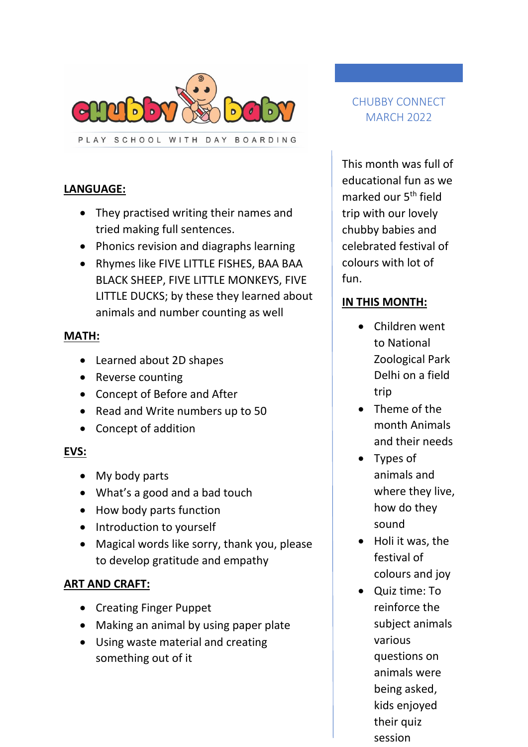

PLAY SCHOOL WITH DAY BOARDING

## **LANGUAGE:**

- They practised writing their names and tried making full sentences.
- Phonics revision and diagraphs learning
- Rhymes like FIVE LITTLE FISHES, BAA BAA BLACK SHEEP, FIVE LITTLE MONKEYS, FIVE LITTLE DUCKS; by these they learned about animals and number counting as well

### **MATH:**

- Learned about 2D shapes
- Reverse counting
- Concept of Before and After
- Read and Write numbers up to 50
- Concept of addition

## **EVS:**

- My body parts
- What's a good and a bad touch
- How body parts function
- Introduction to yourself
- Magical words like sorry, thank you, please to develop gratitude and empathy

#### **ART AND CRAFT:**

- Creating Finger Puppet
- Making an animal by using paper plate
- Using waste material and creating something out of it

# CHUBBY CONNECT MARCH 2022

This month was full of educational fun as we marked our 5th field trip with our lovely chubby babies and celebrated festival of colours with lot of fun.

## **IN THIS MONTH:**

- Children went to National Zoological Park Delhi on a field trip
- Theme of the month Animals and their needs
- Types of animals and where they live, how do they sound
- Holi it was, the festival of colours and joy
- Quiz time: To reinforce the subject animals various questions on animals were being asked, kids enjoyed their quiz session